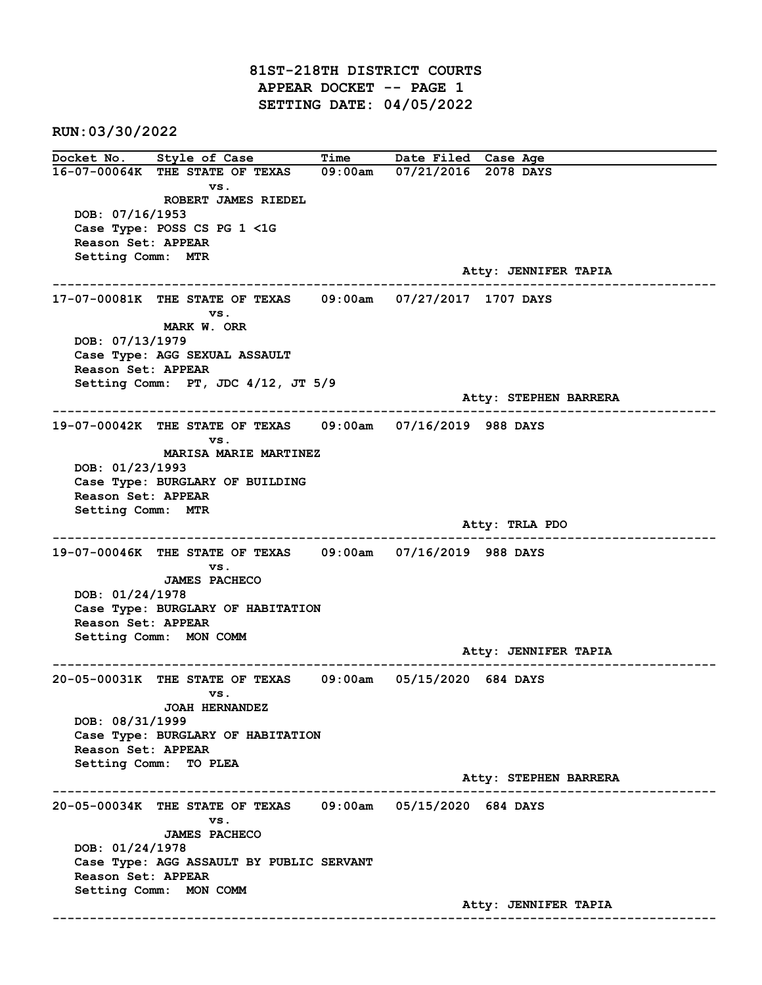81ST-218TH DISTRICT COURTS APPEAR DOCKET -- PAGE 1 SETTING DATE: 04/05/2022

RUN:03/30/2022

Docket No. Style of Case Time Date Filed Case Age 16-07-00064K THE STATE OF TEXAS 09:00am 07/21/2016 2078 DAYS vs. ROBERT JAMES RIEDEL DOB: 07/16/1953 Case Type: POSS CS PG 1 <1G Reason Set: APPEAR Setting Comm: MTR Atty: JENNIFER TAPIA ------------------------------------------------------------------------------------------------------------------------ 17-07-00081K THE STATE OF TEXAS 09:00am 07/27/2017 1707 DAYS vs. MARK W. ORR DOB: 07/13/1979 Case Type: AGG SEXUAL ASSAULT Reason Set: APPEAR Setting Comm: PT, JDC 4/12, JT 5/9 Atty: STEPHEN BARRERA ------------------------------------------------------------------------------------------------------------------------ 19-07-00042K THE STATE OF TEXAS 09:00am 07/16/2019 988 DAYS vs. MARISA MARIE MARTINEZ DOB: 01/23/1993 Case Type: BURGLARY OF BUILDING Reason Set: APPEAR Setting Comm: MTR Atty: TRLA PDO ------------------------------------------------------------------------------------------------------------------------ 19-07-00046K THE STATE OF TEXAS 09:00am 07/16/2019 988 DAYS vs. JAMES PACHECO DOB: 01/24/1978 Case Type: BURGLARY OF HABITATION Reason Set: APPEAR Setting Comm: MON COMM Atty: JENNIFER TAPIA ------------------------------------------------------------------------------------------------------------------------ 20-05-00031K THE STATE OF TEXAS 09:00am 05/15/2020 684 DAYS vs. JOAH HERNANDEZ DOB: 08/31/1999 Case Type: BURGLARY OF HABITATION Reason Set: APPEAR Setting Comm: TO PLEA Atty: STEPHEN BARRERA ------------------------------------------------------------------------------------------------------------------------ 20-05-00034K THE STATE OF TEXAS 09:00am 05/15/2020 684 DAYS vs. JAMES PACHECO DOB: 01/24/1978 Case Type: AGG ASSAULT BY PUBLIC SERVANT Reason Set: APPEAR Setting Comm: MON COMM Atty: JENNIFER TAPIA ------------------------------------------------------------------------------------------------------------------------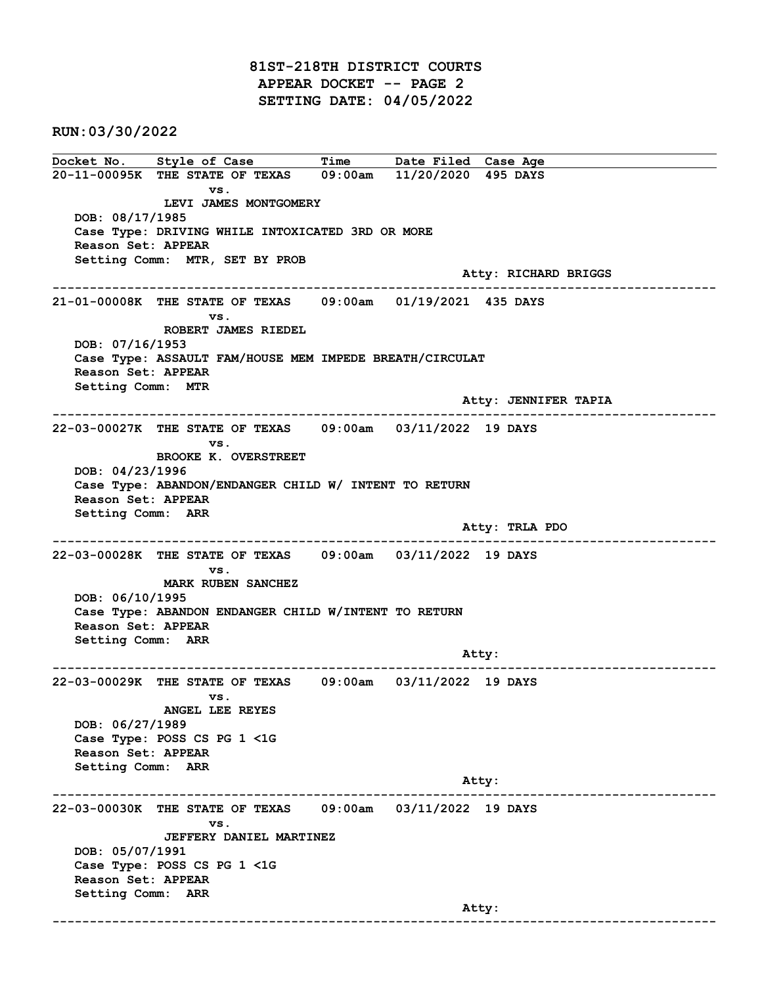81ST-218TH DISTRICT COURTS APPEAR DOCKET -- PAGE 2 SETTING DATE: 04/05/2022

RUN:03/30/2022

Docket No. Style of Case Time Date Filed Case Age 20-11-00095K THE STATE OF TEXAS 09:00am 11/20/2020 495 DAYS vs. LEVI JAMES MONTGOMERY DOB: 08/17/1985 Case Type: DRIVING WHILE INTOXICATED 3RD OR MORE Reason Set: APPEAR Setting Comm: MTR, SET BY PROB Atty: RICHARD BRIGGS ------------------------------------------------------------------------------------------------------------------------ 21-01-00008K THE STATE OF TEXAS 09:00am 01/19/2021 435 DAYS vs. ROBERT JAMES RIEDEL DOB: 07/16/1953 Case Type: ASSAULT FAM/HOUSE MEM IMPEDE BREATH/CIRCULAT Reason Set: APPEAR Setting Comm: MTR Atty: JENNIFER TAPIA ------------------------------------------------------------------------------------------------------------------------ 22-03-00027K THE STATE OF TEXAS 09:00am 03/11/2022 19 DAYS vs. BROOKE K. OVERSTREET DOB: 04/23/1996 Case Type: ABANDON/ENDANGER CHILD W/ INTENT TO RETURN Reason Set: APPEAR Setting Comm: ARR Atty: TRLA PDO ------------------------------------------------------------------------------------------------------------------------ 22-03-00028K THE STATE OF TEXAS 09:00am 03/11/2022 19 DAYS vs. MARK RUBEN SANCHEZ DOB: 06/10/1995 Case Type: ABANDON ENDANGER CHILD W/INTENT TO RETURN Reason Set: APPEAR Setting Comm: ARR example of the contract of the contract of the contract of the contract of the contract of the contract of the contract of the contract of the contract of the contract of the contract of the contract of the contract of the ------------------------------------------------------------------------------------------------------------------------ 22-03-00029K THE STATE OF TEXAS 09:00am 03/11/2022 19 DAYS vs. ANGEL LEE REYES DOB: 06/27/1989 Case Type: POSS CS PG 1 <1G Reason Set: APPEAR Setting Comm: ARR Atty: ------------------------------------------------------------------------------------------------------------------------ 22-03-00030K THE STATE OF TEXAS 09:00am 03/11/2022 19 DAYS vs. JEFFERY DANIEL MARTINEZ DOB: 05/07/1991 Case Type: POSS CS PG 1 <1G Reason Set: APPEAR Setting Comm: ARR and the control of the control of the control of the control of the control of the control of the control of the control of the control of the control of the control of the control of the control of the control of the cont ------------------------------------------------------------------------------------------------------------------------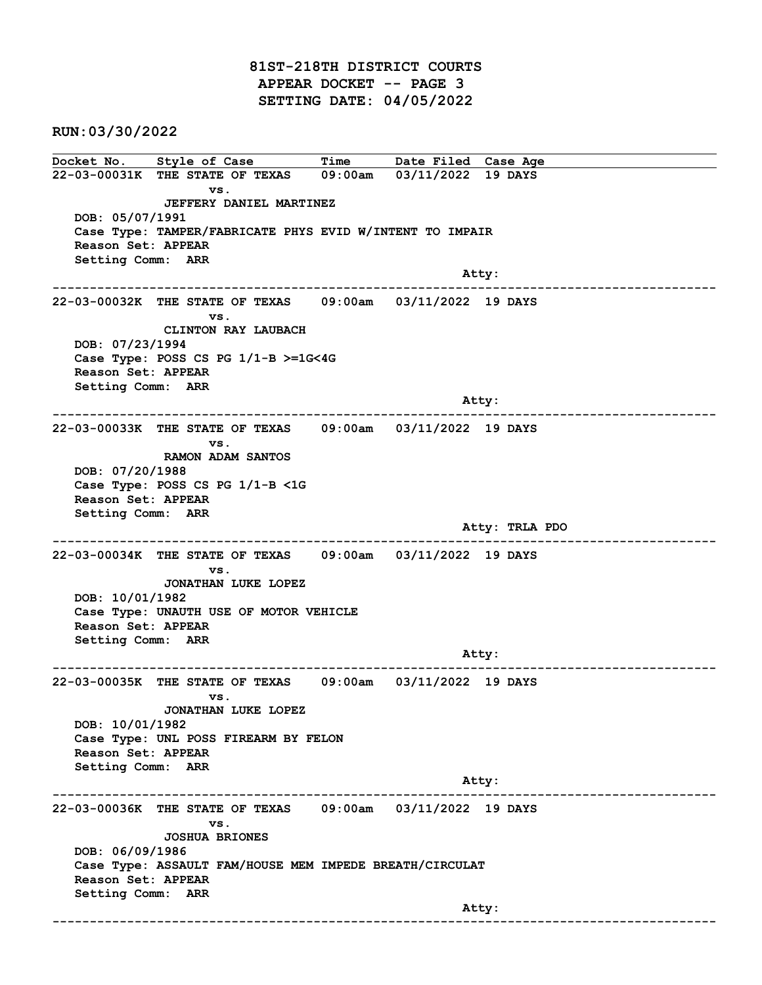81ST-218TH DISTRICT COURTS APPEAR DOCKET -- PAGE 3 SETTING DATE: 04/05/2022

RUN:03/30/2022

Docket No. Style of Case Time Date Filed Case Age 22-03-00031K THE STATE OF TEXAS 09:00am 03/11/2022 19 DAYS vs. JEFFERY DANIEL MARTINEZ DOB: 05/07/1991 Case Type: TAMPER/FABRICATE PHYS EVID W/INTENT TO IMPAIR Reason Set: APPEAR Setting Comm: ARR and the control of the control of the control of the control of the control of the control of the control of the control of the control of the control of the control of the control of the control of the control of the cont ------------------------------------------------------------------------------------------------------------------------ 22-03-00032K THE STATE OF TEXAS 09:00am 03/11/2022 19 DAYS vs. CLINTON RAY LAUBACH DOB: 07/23/1994 Case Type: POSS CS PG 1/1-B >=1G<4G Reason Set: APPEAR Setting Comm: ARR Atty: ------------------------------------------------------------------------------------------------------------------------ 22-03-00033K THE STATE OF TEXAS 09:00am 03/11/2022 19 DAYS vs. RAMON ADAM SANTOS DOB: 07/20/1988 Case Type: POSS CS PG 1/1-B <1G Reason Set: APPEAR Setting Comm: ARR Atty: TRLA PDO ------------------------------------------------------------------------------------------------------------------------ 22-03-00034K THE STATE OF TEXAS 09:00am 03/11/2022 19 DAYS vs. JONATHAN LUKE LOPEZ DOB: 10/01/1982 Case Type: UNAUTH USE OF MOTOR VEHICLE Reason Set: APPEAR Setting Comm: ARR example of the contract of the contract of the contract of the contract of the contract of the contract of the contract of the contract of the contract of the contract of the contract of the contract of the contract of the ------------------------------------------------------------------------------------------------------------------------ 22-03-00035K THE STATE OF TEXAS 09:00am 03/11/2022 19 DAYS vs. JONATHAN LUKE LOPEZ DOB: 10/01/1982 Case Type: UNL POSS FIREARM BY FELON Reason Set: APPEAR Setting Comm: ARR Atty: ------------------------------------------------------------------------------------------------------------------------ 22-03-00036K THE STATE OF TEXAS 09:00am 03/11/2022 19 DAYS vs. JOSHUA BRIONES DOB: 06/09/1986 Case Type: ASSAULT FAM/HOUSE MEM IMPEDE BREATH/CIRCULAT Reason Set: APPEAR Setting Comm: ARR and the control of the control of the control of the control of the control of the control of the control of the control of the control of the control of the control of the control of the control of the control of the cont ------------------------------------------------------------------------------------------------------------------------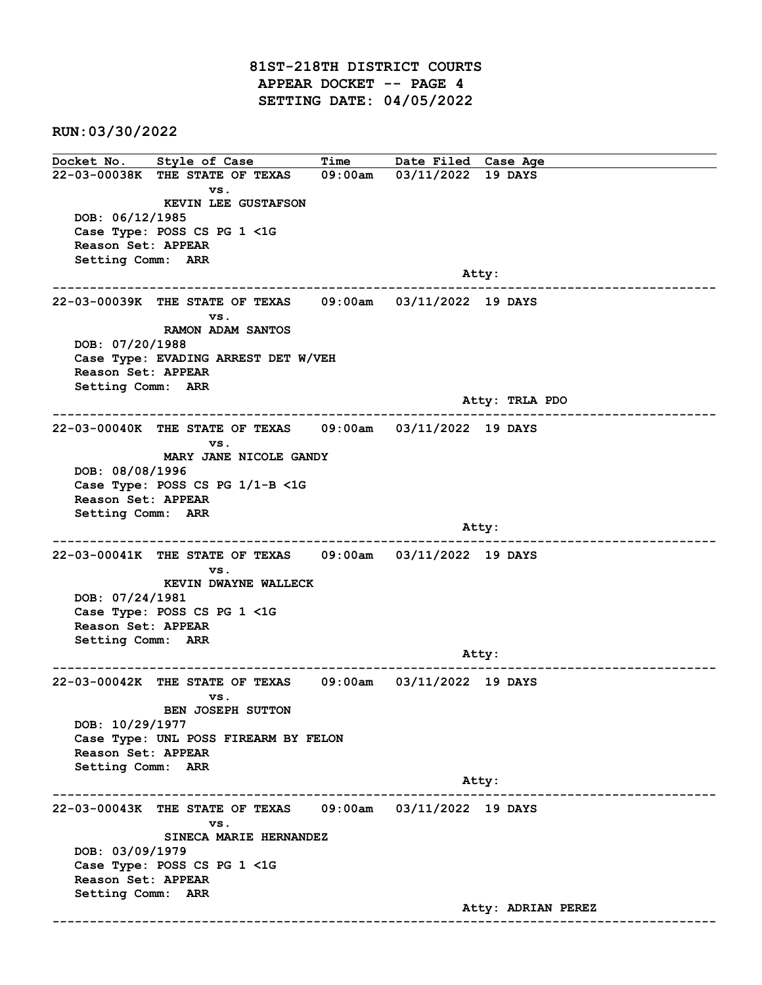81ST-218TH DISTRICT COURTS APPEAR DOCKET -- PAGE 4 SETTING DATE: 04/05/2022

RUN:03/30/2022

Docket No. Style of Case Time Date Filed Case Age 22-03-00038K THE STATE OF TEXAS 09:00am 03/11/2022 19 DAYS vs. KEVIN LEE GUSTAFSON DOB: 06/12/1985 Case Type: POSS CS PG 1 <1G Reason Set: APPEAR Setting Comm: ARR and the control of the control of the control of the control of the control of the control of the control of the control of the control of the control of the control of the control of the control of the control of the cont ------------------------------------------------------------------------------------------------------------------------ 22-03-00039K THE STATE OF TEXAS 09:00am 03/11/2022 19 DAYS vs. RAMON ADAM SANTOS DOB: 07/20/1988 Case Type: EVADING ARREST DET W/VEH Reason Set: APPEAR Setting Comm: ARR Atty: TRLA PDO ------------------------------------------------------------------------------------------------------------------------ 22-03-00040K THE STATE OF TEXAS 09:00am 03/11/2022 19 DAYS vs. MARY JANE NICOLE GANDY DOB: 08/08/1996 Case Type: POSS CS PG 1/1-B <1G Reason Set: APPEAR Setting Comm: ARR and the control of the control of the control of the control of the control of the control of the control of the control of the control of the control of the control of the control of the control of the control of the cont ------------------------------------------------------------------------------------------------------------------------ 22-03-00041K THE STATE OF TEXAS 09:00am 03/11/2022 19 DAYS vs. KEVIN DWAYNE WALLECK DOB: 07/24/1981 Case Type: POSS CS PG 1 <1G Reason Set: APPEAR Setting Comm: ARR example of the contract of the contract of the contract of the contract of the contract of the contract of the contract of the contract of the contract of the contract of the contract of the contract of the contract of the ------------------------------------------------------------------------------------------------------------------------ 22-03-00042K THE STATE OF TEXAS 09:00am 03/11/2022 19 DAYS vs. BEN JOSEPH SUTTON DOB: 10/29/1977 Case Type: UNL POSS FIREARM BY FELON Reason Set: APPEAR Setting Comm: ARR Atty: ------------------------------------------------------------------------------------------------------------------------ 22-03-00043K THE STATE OF TEXAS 09:00am 03/11/2022 19 DAYS vs. SINECA MARIE HERNANDEZ DOB: 03/09/1979 Case Type: POSS CS PG 1 <1G Reason Set: APPEAR Setting Comm: ARR Atty: ADRIAN PEREZ ------------------------------------------------------------------------------------------------------------------------